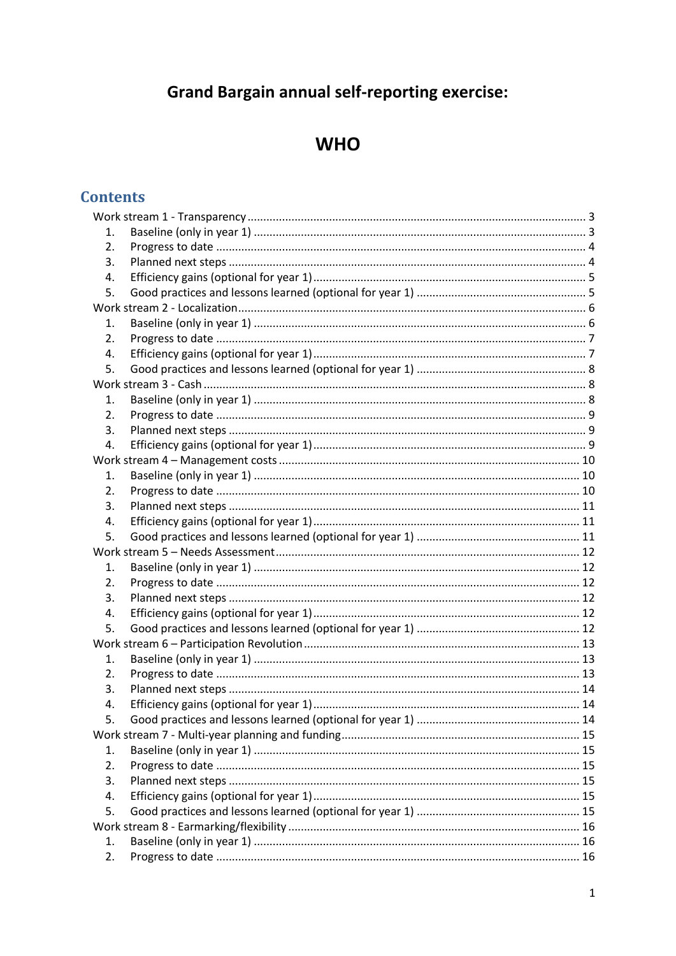# **Grand Bargain annual self-reporting exercise:**

## **WHO**

## **Contents**

| 1. |  |  |  |  |
|----|--|--|--|--|
| 2. |  |  |  |  |
| 3. |  |  |  |  |
| 4. |  |  |  |  |
| 5. |  |  |  |  |
|    |  |  |  |  |
| 1. |  |  |  |  |
| 2. |  |  |  |  |
| 4. |  |  |  |  |
| 5. |  |  |  |  |
|    |  |  |  |  |
| 1. |  |  |  |  |
| 2. |  |  |  |  |
| 3. |  |  |  |  |
| 4. |  |  |  |  |
|    |  |  |  |  |
| 1. |  |  |  |  |
| 2. |  |  |  |  |
| 3. |  |  |  |  |
| 4. |  |  |  |  |
| 5. |  |  |  |  |
|    |  |  |  |  |
| 1. |  |  |  |  |
| 2. |  |  |  |  |
| 3. |  |  |  |  |
| 4. |  |  |  |  |
| 5. |  |  |  |  |
|    |  |  |  |  |
| 1. |  |  |  |  |
| 2. |  |  |  |  |
| 3. |  |  |  |  |
| 4. |  |  |  |  |
|    |  |  |  |  |
|    |  |  |  |  |
| 1. |  |  |  |  |
| 2. |  |  |  |  |
| 3. |  |  |  |  |
| 4. |  |  |  |  |
| 5. |  |  |  |  |
|    |  |  |  |  |
| 1. |  |  |  |  |
| 2. |  |  |  |  |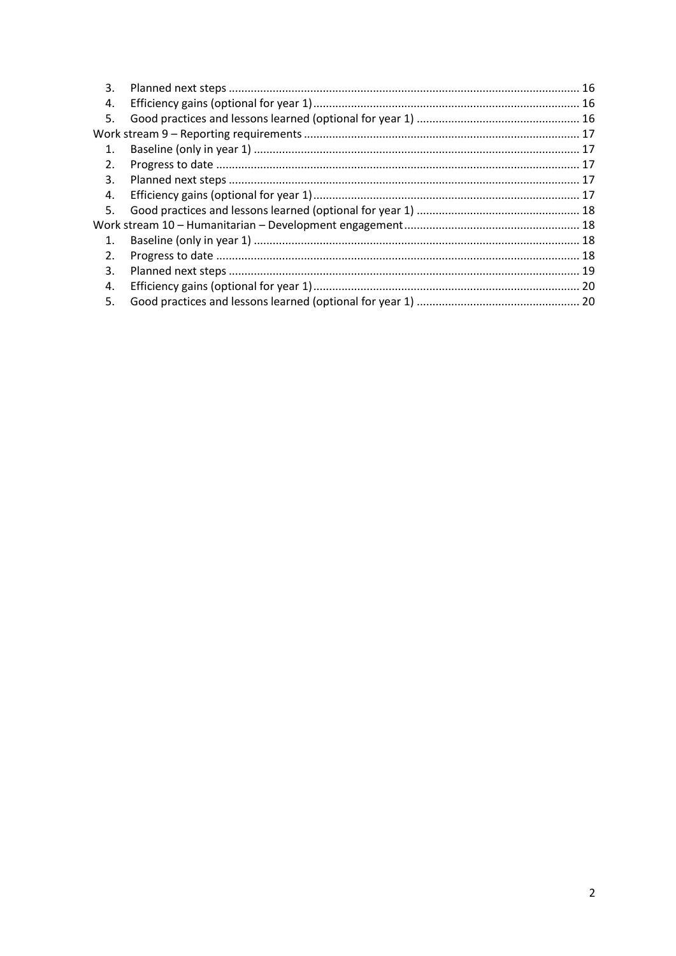| 3.             |  |
|----------------|--|
| 4.             |  |
| 5.             |  |
|                |  |
| 1.             |  |
| 2.             |  |
| 3.             |  |
| 4.             |  |
| 5.             |  |
|                |  |
| $\mathbf{1}$ . |  |
| 2.             |  |
| 3.             |  |
| 4.             |  |
| 5.             |  |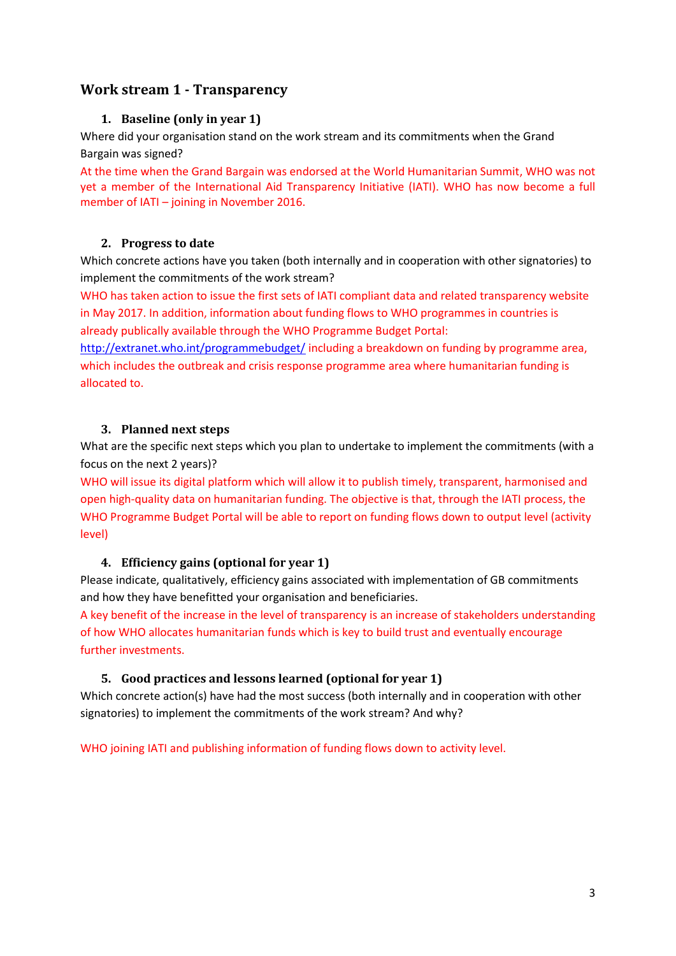## <span id="page-2-1"></span><span id="page-2-0"></span>**Work stream 1 - Transparency**

## **1. Baseline (only in year 1)**

Where did your organisation stand on the work stream and its commitments when the Grand Bargain was signed?

At the time when the Grand Bargain was endorsed at the World Humanitarian Summit, WHO was not yet a member of the International Aid Transparency Initiative (IATI). WHO has now become a full member of IATI – joining in November 2016.

## <span id="page-2-2"></span>**2. Progress to date**

Which concrete actions have you taken (both internally and in cooperation with other signatories) to implement the commitments of the work stream?

WHO has taken action to issue the first sets of IATI compliant data and related transparency website in May 2017. In addition, information about funding flows to WHO programmes in countries is already publically available through the WHO Programme Budget Portal:

<http://extranet.who.int/programmebudget/> including a breakdown on funding by programme area, which includes the outbreak and crisis response programme area where humanitarian funding is allocated to.

## <span id="page-2-3"></span>**3. Planned next steps**

What are the specific next steps which you plan to undertake to implement the commitments (with a focus on the next 2 years)?

WHO will issue its digital platform which will allow it to publish timely, transparent, harmonised and open high-quality data on humanitarian funding. The objective is that, through the IATI process, the WHO Programme Budget Portal will be able to report on funding flows down to output level (activity level)

## <span id="page-2-4"></span>**4. Efficiency gains (optional for year 1)**

Please indicate, qualitatively, efficiency gains associated with implementation of GB commitments and how they have benefitted your organisation and beneficiaries.

A key benefit of the increase in the level of transparency is an increase of stakeholders understanding of how WHO allocates humanitarian funds which is key to build trust and eventually encourage further investments.

#### <span id="page-2-5"></span>**5. Good practices and lessons learned (optional for year 1)**

Which concrete action(s) have had the most success (both internally and in cooperation with other signatories) to implement the commitments of the work stream? And why?

<span id="page-2-6"></span>WHO joining IATI and publishing information of funding flows down to activity level.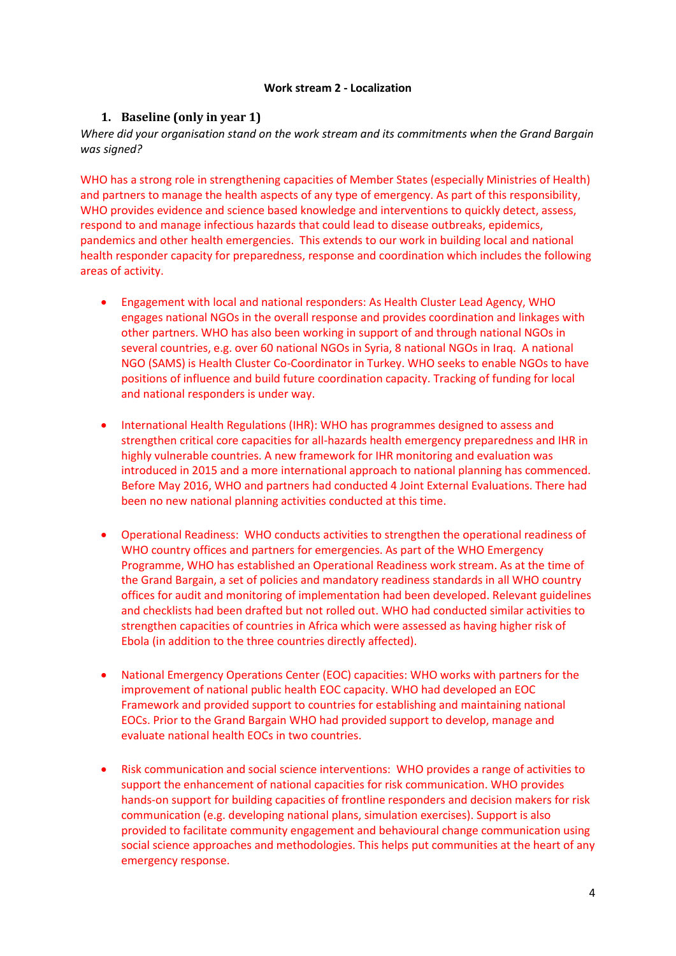#### **Work stream 2 - Localization**

#### **1. Baseline (only in year 1)**

*Where did your organisation stand on the work stream and its commitments when the Grand Bargain was signed?*

WHO has a strong role in strengthening capacities of Member States (especially Ministries of Health) and partners to manage the health aspects of any type of emergency. As part of this responsibility, WHO provides evidence and science based knowledge and interventions to quickly detect, assess, respond to and manage infectious hazards that could lead to disease outbreaks, epidemics, pandemics and other health emergencies. This extends to our work in building local and national health responder capacity for preparedness, response and coordination which includes the following areas of activity.

- Engagement with local and national responders: As Health Cluster Lead Agency, WHO engages national NGOs in the overall response and provides coordination and linkages with other partners. WHO has also been working in support of and through national NGOs in several countries, e.g. over 60 national NGOs in Syria, 8 national NGOs in Iraq. A national NGO (SAMS) is Health Cluster Co-Coordinator in Turkey. WHO seeks to enable NGOs to have positions of influence and build future coordination capacity. Tracking of funding for local and national responders is under way.
- International Health Regulations (IHR): WHO has programmes designed to assess and strengthen critical core capacities for all-hazards health emergency preparedness and IHR in highly vulnerable countries. A new framework for IHR monitoring and evaluation was introduced in 2015 and a more international approach to national planning has commenced. Before May 2016, WHO and partners had conducted 4 Joint External Evaluations. There had been no new national planning activities conducted at this time.
- Operational Readiness: WHO conducts activities to strengthen the operational readiness of WHO country offices and partners for emergencies. As part of the WHO Emergency Programme, WHO has established an Operational Readiness work stream. As at the time of the Grand Bargain, a set of policies and mandatory readiness standards in all WHO country offices for audit and monitoring of implementation had been developed. Relevant guidelines and checklists had been drafted but not rolled out. WHO had conducted similar activities to strengthen capacities of countries in Africa which were assessed as having higher risk of Ebola (in addition to the three countries directly affected).
- National Emergency Operations Center (EOC) capacities: WHO works with partners for the improvement of national public health EOC capacity. WHO had developed an EOC Framework and provided support to countries for establishing and maintaining national EOCs. Prior to the Grand Bargain WHO had provided support to develop, manage and evaluate national health EOCs in two countries.
- Risk communication and social science interventions: WHO provides a range of activities to support the enhancement of national capacities for risk communication. WHO provides hands-on support for building capacities of frontline responders and decision makers for risk communication (e.g. developing national plans, simulation exercises). Support is also provided to facilitate community engagement and behavioural change communication using social science approaches and methodologies. This helps put communities at the heart of any emergency response.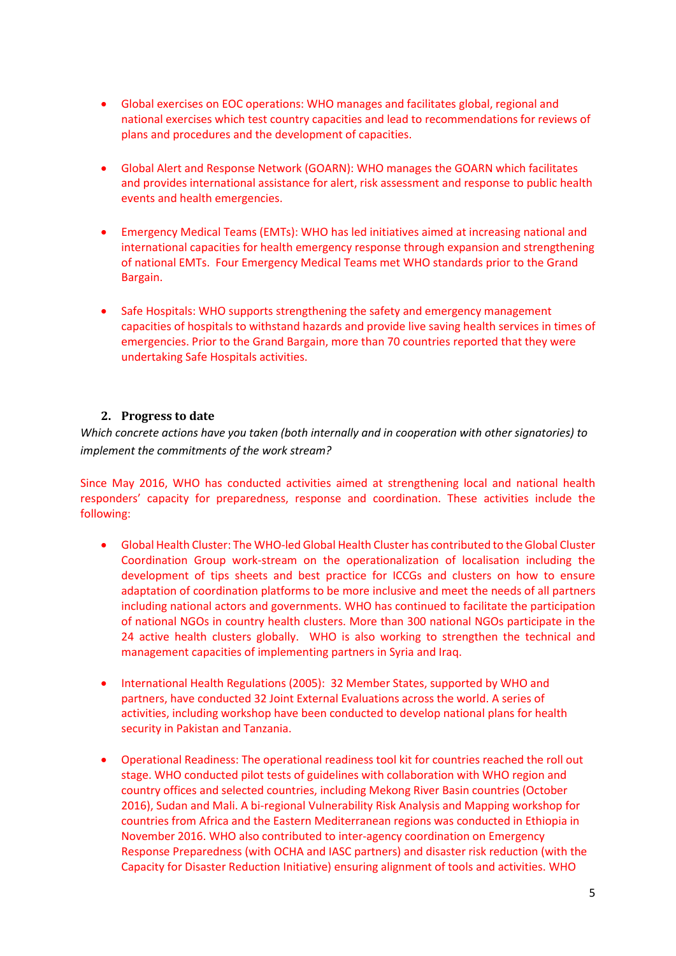- Global exercises on EOC operations: WHO manages and facilitates global, regional and national exercises which test country capacities and lead to recommendations for reviews of plans and procedures and the development of capacities.
- Global Alert and Response Network (GOARN): WHO manages the GOARN which facilitates and provides international assistance for alert, risk assessment and response to public health events and health emergencies.
- Emergency Medical Teams (EMTs): WHO has led initiatives aimed at increasing national and international capacities for health emergency response through expansion and strengthening of national EMTs. Four Emergency Medical Teams met WHO standards prior to the Grand Bargain.
- Safe Hospitals: WHO supports strengthening the safety and emergency management capacities of hospitals to withstand hazards and provide live saving health services in times of emergencies. Prior to the Grand Bargain, more than 70 countries reported that they were undertaking Safe Hospitals activities.

## **2. Progress to date**

*Which concrete actions have you taken (both internally and in cooperation with other signatories) to implement the commitments of the work stream?* 

Since May 2016, WHO has conducted activities aimed at strengthening local and national health responders' capacity for preparedness, response and coordination. These activities include the following:

- Global Health Cluster: The WHO-led Global Health Cluster has contributed to the Global Cluster Coordination Group work-stream on the operationalization of localisation including the development of tips sheets and best practice for ICCGs and clusters on how to ensure adaptation of coordination platforms to be more inclusive and meet the needs of all partners including national actors and governments. WHO has continued to facilitate the participation of national NGOs in country health clusters. More than 300 national NGOs participate in the 24 active health clusters globally. WHO is also working to strengthen the technical and management capacities of implementing partners in Syria and Iraq.
- International Health Regulations (2005): 32 Member States, supported by WHO and partners, have conducted 32 Joint External Evaluations across the world. A series of activities, including workshop have been conducted to develop national plans for health security in Pakistan and Tanzania.
- Operational Readiness: The operational readiness tool kit for countries reached the roll out stage. WHO conducted pilot tests of guidelines with collaboration with WHO region and country offices and selected countries, including Mekong River Basin countries (October 2016), Sudan and Mali. A bi-regional Vulnerability Risk Analysis and Mapping workshop for countries from Africa and the Eastern Mediterranean regions was conducted in Ethiopia in November 2016. WHO also contributed to inter-agency coordination on Emergency Response Preparedness (with OCHA and IASC partners) and disaster risk reduction (with the Capacity for Disaster Reduction Initiative) ensuring alignment of tools and activities. WHO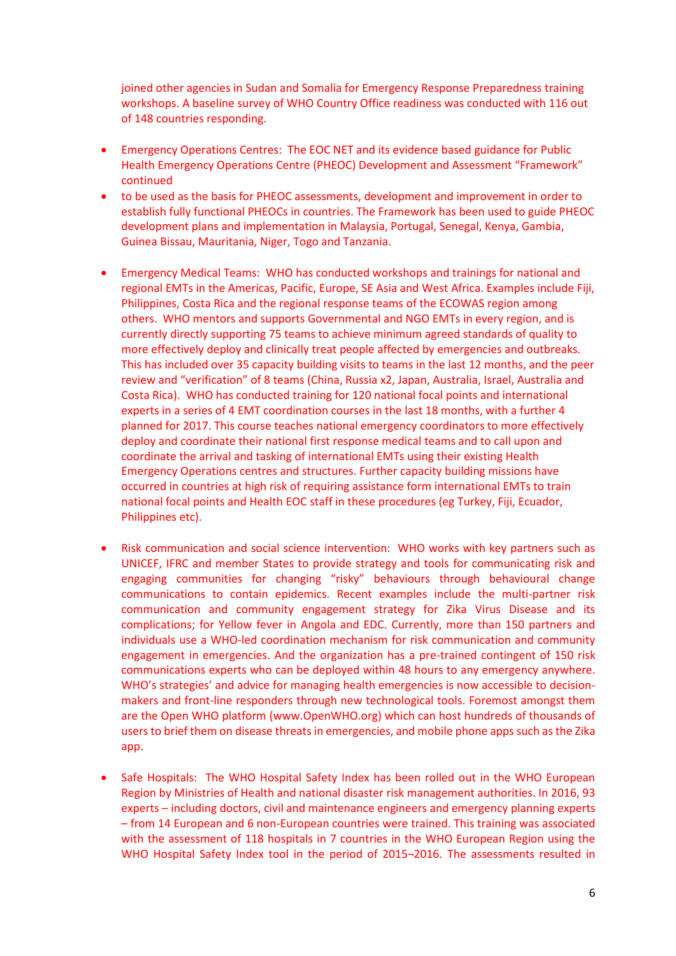joined other agencies in Sudan and Somalia for Emergency Response Preparedness training workshops. A baseline survey of WHO Country Office readiness was conducted with 116 out of 148 countries responding.

- Emergency Operations Centres: The EOC NET and its evidence based guidance for Public Health Emergency Operations Centre (PHEOC) Development and Assessment "Framework" continued
- to be used as the basis for PHEOC assessments, development and improvement in order to establish fully functional PHEOCs in countries. The Framework has been used to guide PHEOC development plans and implementation in Malaysia, Portugal, Senegal, Kenya, Gambia, Guinea Bissau, Mauritania, Niger, Togo and Tanzania.
- Emergency Medical Teams: WHO has conducted workshops and trainings for national and regional EMTs in the Americas, Pacific, Europe, SE Asia and West Africa. Examples include Fiji, Philippines, Costa Rica and the regional response teams of the ECOWAS region among others. WHO mentors and supports Governmental and NGO EMTs in every region, and is currently directly supporting 75 teams to achieve minimum agreed standards of quality to more effectively deploy and clinically treat people affected by emergencies and outbreaks. This has included over 35 capacity building visits to teams in the last 12 months, and the peer review and "verification" of 8 teams (China, Russia x2, Japan, Australia, Israel, Australia and Costa Rica). WHO has conducted training for 120 national focal points and international experts in a series of 4 EMT coordination courses in the last 18 months, with a further 4 planned for 2017. This course teaches national emergency coordinators to more effectively deploy and coordinate their national first response medical teams and to call upon and coordinate the arrival and tasking of international EMTs using their existing Health Emergency Operations centres and structures. Further capacity building missions have occurred in countries at high risk of requiring assistance form international EMTs to train national focal points and Health EOC staff in these procedures (eg Turkey, Fiji, Ecuador, Philippines etc).
- Risk communication and social science intervention: WHO works with key partners such as UNICEF, IFRC and member States to provide strategy and tools for communicating risk and engaging communities for changing "risky" behaviours through behavioural change communications to contain epidemics. Recent examples include the multi-partner risk communication and community engagement strategy for Zika Virus Disease and its complications; for Yellow fever in Angola and EDC. Currently, more than 150 partners and individuals use a WHO-led coordination mechanism for risk communication and community engagement in emergencies. And the organization has a pre-trained contingent of 150 risk communications experts who can be deployed within 48 hours to any emergency anywhere. WHO's strategies' and advice for managing health emergencies is now accessible to decisionmakers and front-line responders through new technological tools. Foremost amongst them are the Open WHO platform [\(www.OpenWHO.org\)](file:///C:/Users/gamhewageg/AppData/Local/Microsoft/Windows/Temporary%20Internet%20Files/Content.Outlook/0INQOW9C/www.OpenWHO.org) which can host hundreds of thousands of users to brief them on disease threats in emergencies, and mobile phone apps such as the Zika app.
- Safe Hospitals: The WHO Hospital Safety Index has been rolled out in the WHO European Region by Ministries of Health and national disaster risk management authorities. In 2016, 93 experts – including doctors, civil and maintenance engineers and emergency planning experts – from 14 European and 6 non-European countries were trained. This training was associated with the assessment of 118 hospitals in 7 countries in the WHO European Region using the WHO Hospital Safety Index tool in the period of 2015¬2016. The assessments resulted in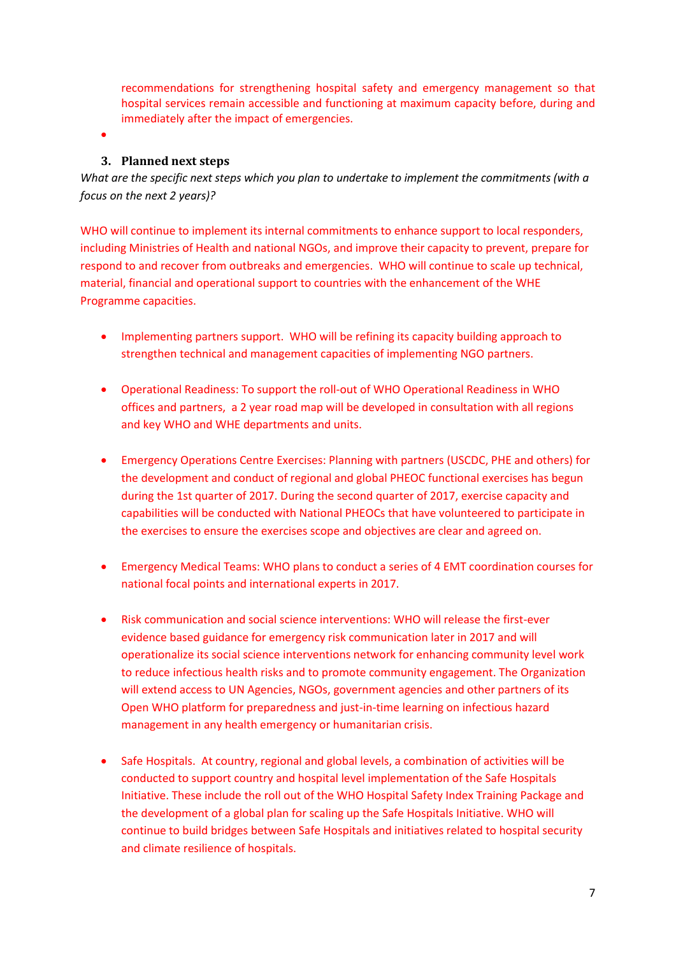recommendations for strengthening hospital safety and emergency management so that hospital services remain accessible and functioning at maximum capacity before, during and immediately after the impact of emergencies.

 $\bullet$ 

#### **3. Planned next steps**

*What are the specific next steps which you plan to undertake to implement the commitments (with a focus on the next 2 years)?* 

WHO will continue to implement its internal commitments to enhance support to local responders, including Ministries of Health and national NGOs, and improve their capacity to prevent, prepare for respond to and recover from outbreaks and emergencies. WHO will continue to scale up technical, material, financial and operational support to countries with the enhancement of the WHE Programme capacities.

- Implementing partners support. WHO will be refining its capacity building approach to strengthen technical and management capacities of implementing NGO partners.
- Operational Readiness: To support the roll-out of WHO Operational Readiness in WHO offices and partners, a 2 year road map will be developed in consultation with all regions and key WHO and WHE departments and units.
- Emergency Operations Centre Exercises: Planning with partners (USCDC, PHE and others) for the development and conduct of regional and global PHEOC functional exercises has begun during the 1st quarter of 2017. During the second quarter of 2017, exercise capacity and capabilities will be conducted with National PHEOCs that have volunteered to participate in the exercises to ensure the exercises scope and objectives are clear and agreed on.
- Emergency Medical Teams: WHO plans to conduct a series of 4 EMT coordination courses for national focal points and international experts in 2017.
- Risk communication and social science interventions: WHO will release the first-ever evidence based guidance for emergency risk communication later in 2017 and will operationalize its social science interventions network for enhancing community level work to reduce infectious health risks and to promote community engagement. The Organization will extend access to UN Agencies, NGOs, government agencies and other partners of its Open WHO platform for preparedness and just-in-time learning on infectious hazard management in any health emergency or humanitarian crisis.
- Safe Hospitals. At country, regional and global levels, a combination of activities will be conducted to support country and hospital level implementation of the Safe Hospitals Initiative. These include the roll out of the WHO Hospital Safety Index Training Package and the development of a global plan for scaling up the Safe Hospitals Initiative. WHO will continue to build bridges between Safe Hospitals and initiatives related to hospital security and climate resilience of hospitals.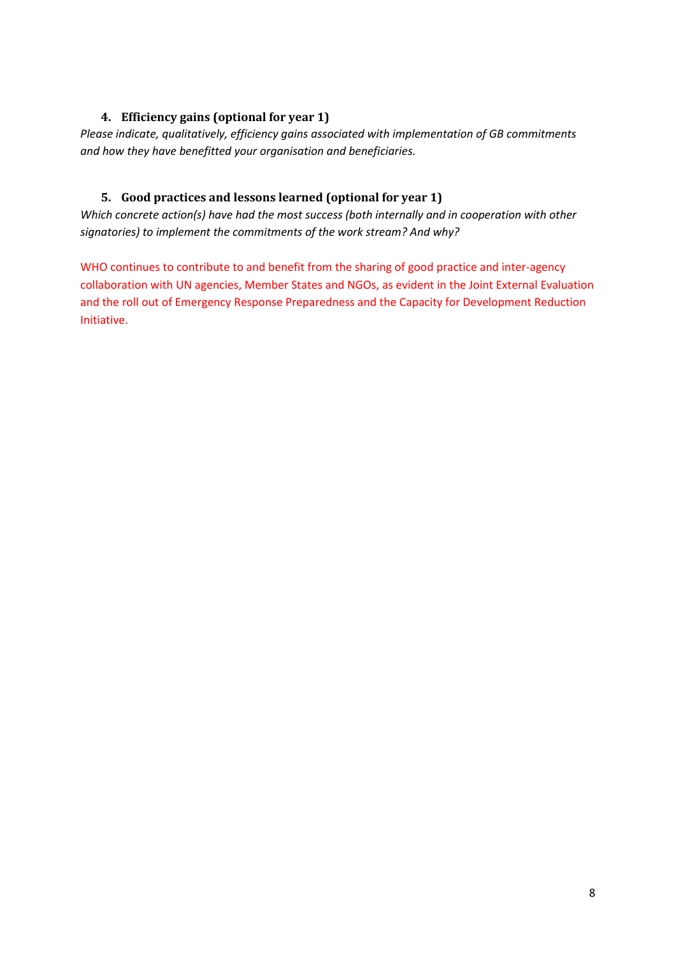## **4. Efficiency gains (optional for year 1)**

*Please indicate, qualitatively, efficiency gains associated with implementation of GB commitments and how they have benefitted your organisation and beneficiaries.*

## **5. Good practices and lessons learned (optional for year 1)**

*Which concrete action(s) have had the most success (both internally and in cooperation with other signatories) to implement the commitments of the work stream? And why?*

WHO continues to contribute to and benefit from the sharing of good practice and inter-agency collaboration with UN agencies, Member States and NGOs, as evident in the Joint External Evaluation and the roll out of Emergency Response Preparedness and the Capacity for Development Reduction Initiative.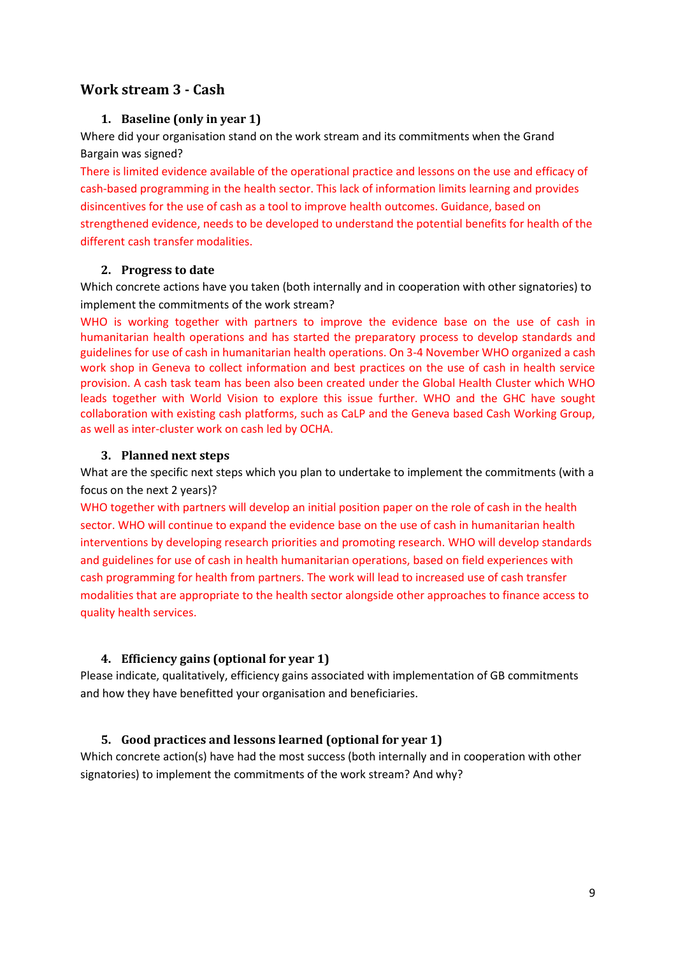## <span id="page-8-0"></span>**Work stream 3 - Cash**

## **1. Baseline (only in year 1)**

Where did your organisation stand on the work stream and its commitments when the Grand Bargain was signed?

There is limited evidence available of the operational practice and lessons on the use and efficacy of cash-based programming in the health sector. This lack of information limits learning and provides disincentives for the use of cash as a tool to improve health outcomes. Guidance, based on strengthened evidence, needs to be developed to understand the potential benefits for health of the different cash transfer modalities.

## **2. Progress to date**

Which concrete actions have you taken (both internally and in cooperation with other signatories) to implement the commitments of the work stream?

WHO is working together with partners to improve the evidence base on the use of cash in humanitarian health operations and has started the preparatory process to develop standards and guidelines for use of cash in humanitarian health operations. On 3-4 November WHO organized a cash work shop in Geneva to collect information and best practices on the use of cash in health service provision. A cash task team has been also been created under the Global Health Cluster which WHO leads together with World Vision to explore this issue further. WHO and the GHC have sought collaboration with existing cash platforms, such as CaLP and the Geneva based Cash Working Group, as well as inter-cluster work on cash led by OCHA.

## **3. Planned next steps**

What are the specific next steps which you plan to undertake to implement the commitments (with a focus on the next 2 years)?

WHO together with partners will develop an initial position paper on the role of cash in the health sector. WHO will continue to expand the evidence base on the use of cash in humanitarian health interventions by developing research priorities and promoting research. WHO will develop standards and guidelines for use of cash in health humanitarian operations, based on field experiences with cash programming for health from partners. The work will lead to increased use of cash transfer modalities that are appropriate to the health sector alongside other approaches to finance access to quality health services.

## **4. Efficiency gains (optional for year 1)**

Please indicate, qualitatively, efficiency gains associated with implementation of GB commitments and how they have benefitted your organisation and beneficiaries.

## **5. Good practices and lessons learned (optional for year 1)**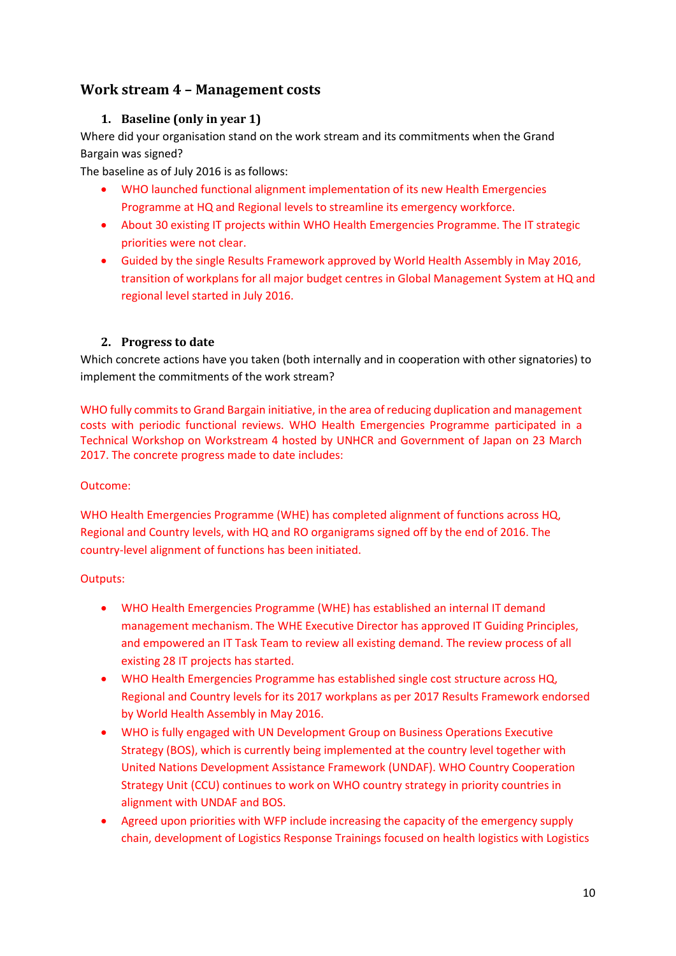## <span id="page-9-1"></span><span id="page-9-0"></span>**Work stream 4 – Management costs**

## **1. Baseline (only in year 1)**

Where did your organisation stand on the work stream and its commitments when the Grand Bargain was signed?

The baseline as of July 2016 is as follows:

- WHO launched functional alignment implementation of its new Health Emergencies Programme at HQ and Regional levels to streamline its emergency workforce.
- About 30 existing IT projects within WHO Health Emergencies Programme. The IT strategic priorities were not clear.
- Guided by the single Results Framework approved by World Health Assembly in May 2016, transition of workplans for all major budget centres in Global Management System at HQ and regional level started in July 2016.

## <span id="page-9-2"></span>**2. Progress to date**

Which concrete actions have you taken (both internally and in cooperation with other signatories) to implement the commitments of the work stream?

WHO fully commits to Grand Bargain initiative, in the area of reducing duplication and management costs with periodic functional reviews. WHO Health Emergencies Programme participated in a Technical Workshop on Workstream 4 hosted by UNHCR and Government of Japan on 23 March 2017. The concrete progress made to date includes:

#### Outcome:

WHO Health Emergencies Programme (WHE) has completed alignment of functions across HQ, Regional and Country levels, with HQ and RO organigrams signed off by the end of 2016. The country-level alignment of functions has been initiated.

## Outputs:

- WHO Health Emergencies Programme (WHE) has established an internal IT demand management mechanism. The WHE Executive Director has approved IT Guiding Principles, and empowered an IT Task Team to review all existing demand. The review process of all existing 28 IT projects has started.
- WHO Health Emergencies Programme has established single cost structure across HQ, Regional and Country levels for its 2017 workplans as per 2017 Results Framework endorsed by World Health Assembly in May 2016.
- WHO is fully engaged with UN Development Group on Business Operations Executive Strategy (BOS), which is currently being implemented at the country level together with United Nations Development Assistance Framework (UNDAF). WHO Country Cooperation Strategy Unit (CCU) continues to work on WHO country strategy in priority countries in alignment with UNDAF and BOS.
- Agreed upon priorities with WFP include increasing the capacity of the emergency supply chain, development of Logistics Response Trainings focused on health logistics with Logistics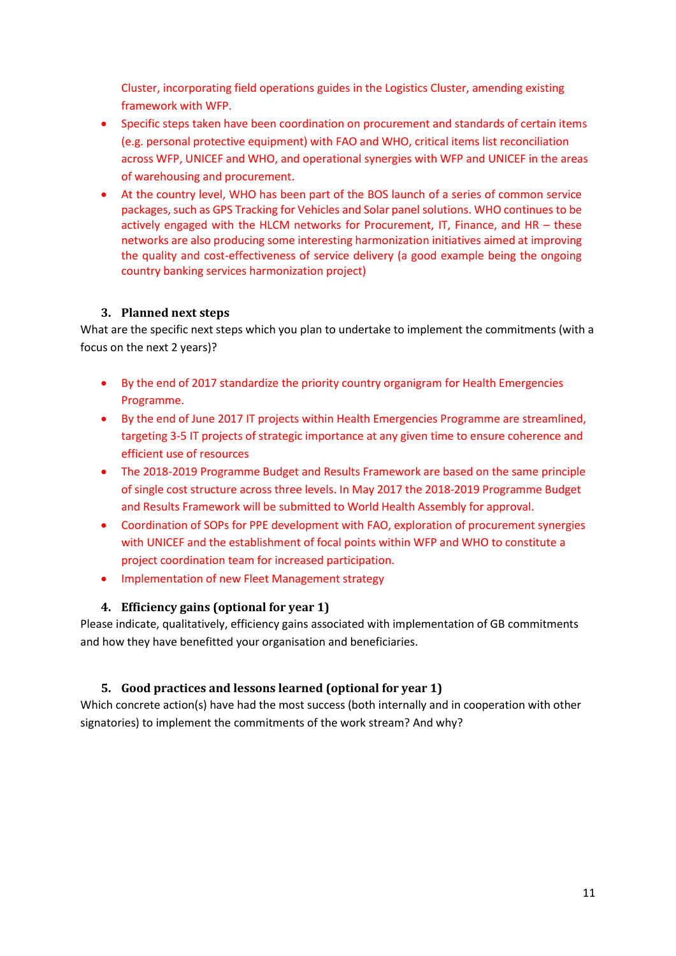Cluster, incorporating field operations guides in the Logistics Cluster, amending existing framework with WFP.

- Specific steps taken have been coordination on procurement and standards of certain items (e.g. personal protective equipment) with FAO and WHO, critical items list reconciliation across WFP, UNICEF and WHO, and operational synergies with WFP and UNICEF in the areas of warehousing and procurement.
- At the country level, WHO has been part of the BOS launch of a series of common service packages, such as GPS Tracking for Vehicles and Solar panel solutions. WHO continues to be actively engaged with the HLCM networks for Procurement, IT, Finance, and HR – these networks are also producing some interesting harmonization initiatives aimed at improving the quality and cost-effectiveness of service delivery (a good example being the ongoing country banking services harmonization project)

## <span id="page-10-0"></span>**3. Planned next steps**

What are the specific next steps which you plan to undertake to implement the commitments (with a focus on the next 2 years)?

- By the end of 2017 standardize the priority country organigram for Health Emergencies Programme.
- By the end of June 2017 IT projects within Health Emergencies Programme are streamlined, targeting 3-5 IT projects of strategic importance at any given time to ensure coherence and efficient use of resources
- The 2018-2019 Programme Budget and Results Framework are based on the same principle of single cost structure across three levels. In May 2017 the 2018-2019 Programme Budget and Results Framework will be submitted to World Health Assembly for approval.
- Coordination of SOPs for PPE development with FAO, exploration of procurement synergies with UNICEF and the establishment of focal points within WFP and WHO to constitute a project coordination team for increased participation.
- Implementation of new Fleet Management strategy

## **4. Efficiency gains (optional for year 1)**

<span id="page-10-1"></span>Please indicate, qualitatively, efficiency gains associated with implementation of GB commitments and how they have benefitted your organisation and beneficiaries.

## <span id="page-10-2"></span>**5. Good practices and lessons learned (optional for year 1)**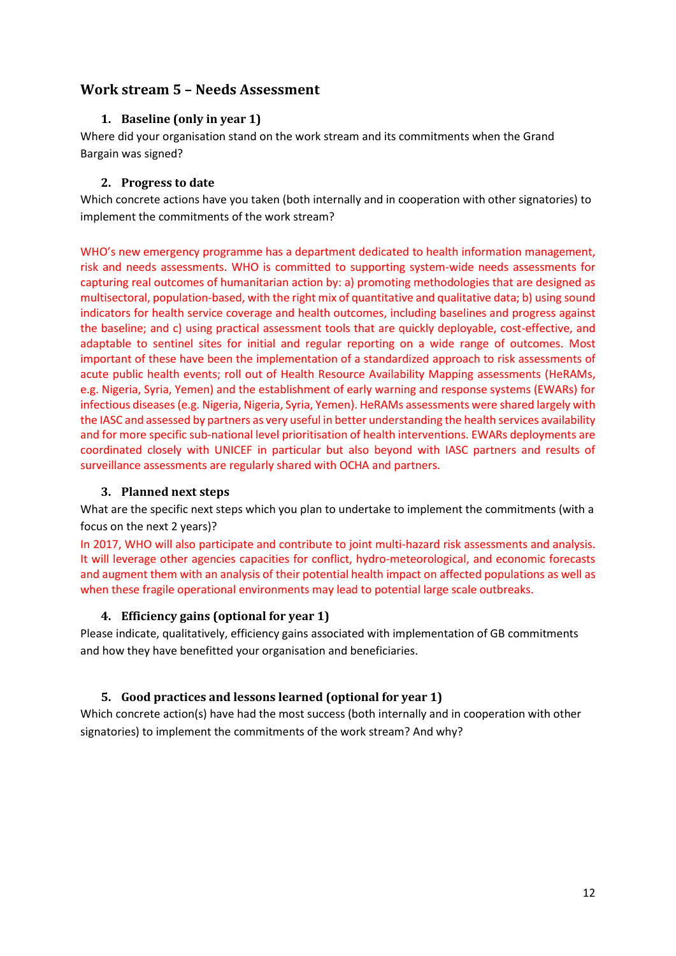## <span id="page-11-1"></span><span id="page-11-0"></span>**Work stream 5 – Needs Assessment**

## **1. Baseline (only in year 1)**

Where did your organisation stand on the work stream and its commitments when the Grand Bargain was signed?

## <span id="page-11-2"></span>**2. Progress to date**

Which concrete actions have you taken (both internally and in cooperation with other signatories) to implement the commitments of the work stream?

WHO's new emergency programme has a department dedicated to health information management, risk and needs assessments. WHO is committed to supporting system-wide needs assessments for capturing real outcomes of humanitarian action by: a) promoting methodologies that are designed as multisectoral, population-based, with the right mix of quantitative and qualitative data; b) using sound indicators for health service coverage and health outcomes, including baselines and progress against the baseline; and c) using practical assessment tools that are quickly deployable, cost-effective, and adaptable to sentinel sites for initial and regular reporting on a wide range of outcomes. Most important of these have been the implementation of a standardized approach to risk assessments of acute public health events; roll out of Health Resource Availability Mapping assessments (HeRAMs, e.g. Nigeria, Syria, Yemen) and the establishment of early warning and response systems (EWARs) for infectious diseases (e.g. Nigeria, Nigeria, Syria, Yemen). HeRAMs assessments were shared largely with the IASC and assessed by partners as very useful in better understanding the health services availability and for more specific sub-national level prioritisation of health interventions. EWARs deployments are coordinated closely with UNICEF in particular but also beyond with IASC partners and results of surveillance assessments are regularly shared with OCHA and partners.

## <span id="page-11-3"></span>**3. Planned next steps**

What are the specific next steps which you plan to undertake to implement the commitments (with a focus on the next 2 years)?

In 2017, WHO will also participate and contribute to joint multi-hazard risk assessments and analysis. It will leverage other agencies capacities for conflict, hydro-meteorological, and economic forecasts and augment them with an analysis of their potential health impact on affected populations as well as when these fragile operational environments may lead to potential large scale outbreaks.

## <span id="page-11-4"></span>**4. Efficiency gains (optional for year 1)**

Please indicate, qualitatively, efficiency gains associated with implementation of GB commitments and how they have benefitted your organisation and beneficiaries.

## <span id="page-11-5"></span>**5. Good practices and lessons learned (optional for year 1)**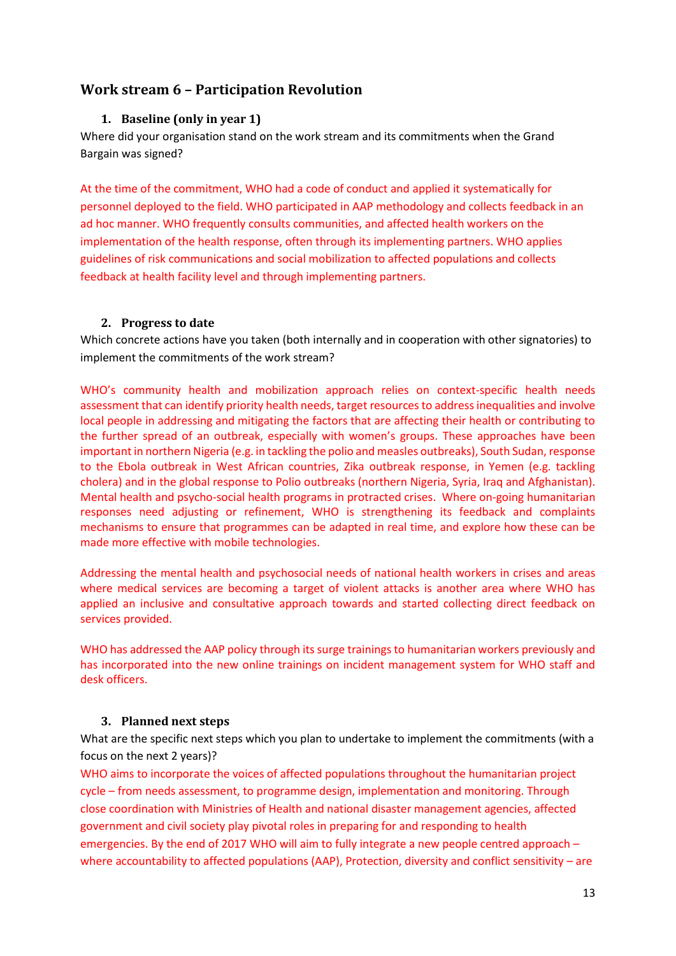## <span id="page-12-0"></span>**Work stream 6 – Participation Revolution**

## **1. Baseline (only in year 1)**

Where did your organisation stand on the work stream and its commitments when the Grand Bargain was signed?

At the time of the commitment, WHO had a code of conduct and applied it systematically for personnel deployed to the field. WHO participated in AAP methodology and collects feedback in an ad hoc manner. WHO frequently consults communities, and affected health workers on the implementation of the health response, often through its implementing partners. WHO applies guidelines of risk communications and social mobilization to affected populations and collects feedback at health facility level and through implementing partners.

## **2. Progress to date**

Which concrete actions have you taken (both internally and in cooperation with other signatories) to implement the commitments of the work stream?

WHO's community health and mobilization approach relies on context-specific health needs assessment that can identify priority health needs, target resources to address inequalities and involve local people in addressing and mitigating the factors that are affecting their health or contributing to the further spread of an outbreak, especially with women's groups. These approaches have been important in northern Nigeria (e.g. in tackling the polio and measles outbreaks), South Sudan, response to the Ebola outbreak in West African countries, Zika outbreak response, in Yemen (e.g. tackling cholera) and in the global response to Polio outbreaks (northern Nigeria, Syria, Iraq and Afghanistan). Mental health and psycho-social health programs in protracted crises. Where on-going humanitarian responses need adjusting or refinement, WHO is strengthening its feedback and complaints mechanisms to ensure that programmes can be adapted in real time, and explore how these can be made more effective with mobile technologies.

Addressing the mental health and psychosocial needs of national health workers in crises and areas where medical services are becoming a target of violent attacks is another area where WHO has applied an inclusive and consultative approach towards and started collecting direct feedback on services provided.

WHO has addressed the AAP policy through its surge trainings to humanitarian workers previously and has incorporated into the new online trainings on incident management system for WHO staff and desk officers.

#### **3. Planned next steps**

What are the specific next steps which you plan to undertake to implement the commitments (with a focus on the next 2 years)?

WHO aims to incorporate the voices of affected populations throughout the humanitarian project cycle – from needs assessment, to programme design, implementation and monitoring. Through close coordination with Ministries of Health and national disaster management agencies, affected government and civil society play pivotal roles in preparing for and responding to health emergencies. By the end of 2017 WHO will aim to fully integrate a new people centred approach – where accountability to affected populations (AAP), Protection, diversity and conflict sensitivity – are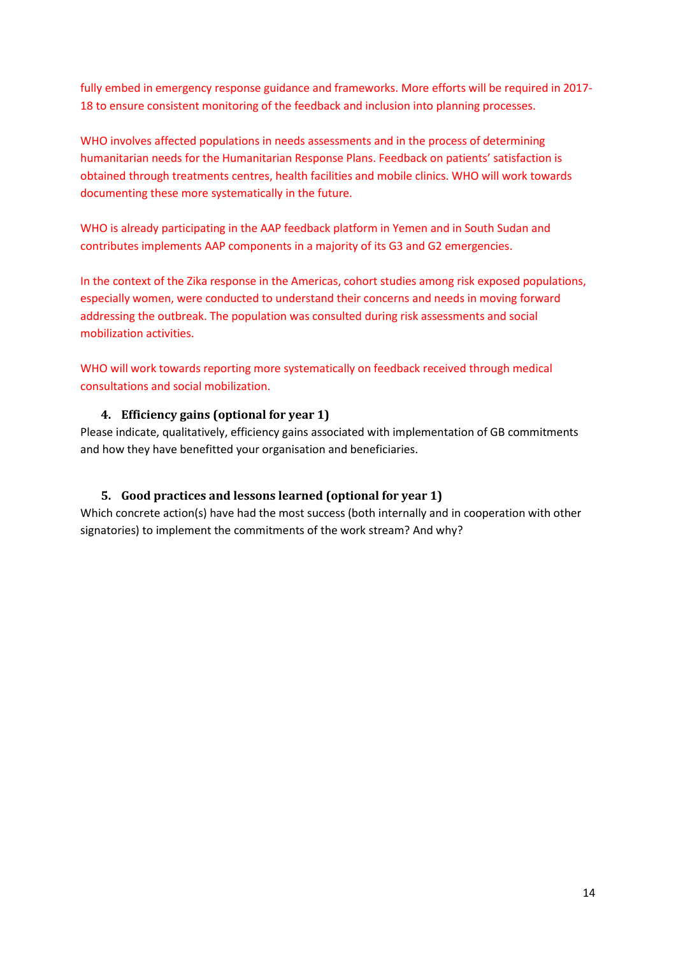fully embed in emergency response guidance and frameworks. More efforts will be required in 2017- 18 to ensure consistent monitoring of the feedback and inclusion into planning processes.

WHO involves affected populations in needs assessments and in the process of determining humanitarian needs for the Humanitarian Response Plans. Feedback on patients' satisfaction is obtained through treatments centres, health facilities and mobile clinics. WHO will work towards documenting these more systematically in the future.

WHO is already participating in the AAP feedback platform in Yemen and in South Sudan and contributes implements AAP components in a majority of its G3 and G2 emergencies.

In the context of the Zika response in the Americas, cohort studies among risk exposed populations, especially women, were conducted to understand their concerns and needs in moving forward addressing the outbreak. The population was consulted during risk assessments and social mobilization activities.

WHO will work towards reporting more systematically on feedback received through medical consultations and social mobilization.

## **4. Efficiency gains (optional for year 1)**

Please indicate, qualitatively, efficiency gains associated with implementation of GB commitments and how they have benefitted your organisation and beneficiaries.

## **5. Good practices and lessons learned (optional for year 1)**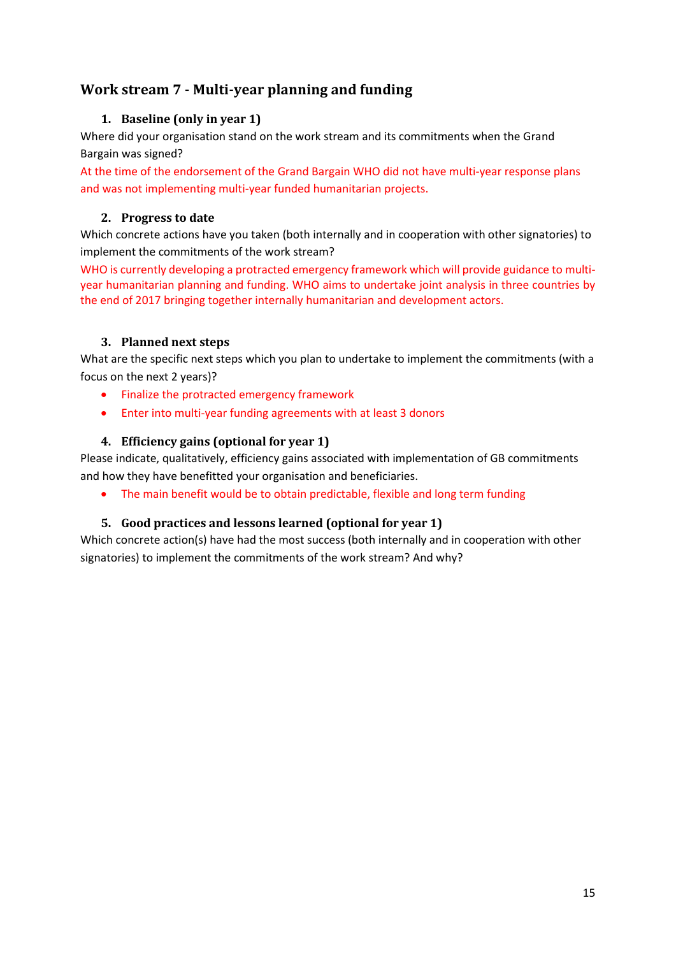## <span id="page-14-1"></span><span id="page-14-0"></span>**Work stream 7 - Multi-year planning and funding**

## **1. Baseline (only in year 1)**

Where did your organisation stand on the work stream and its commitments when the Grand Bargain was signed?

At the time of the endorsement of the Grand Bargain WHO did not have multi-year response plans and was not implementing multi-year funded humanitarian projects.

## <span id="page-14-2"></span>**2. Progress to date**

Which concrete actions have you taken (both internally and in cooperation with other signatories) to implement the commitments of the work stream?

WHO is currently developing a protracted emergency framework which will provide guidance to multiyear humanitarian planning and funding. WHO aims to undertake joint analysis in three countries by the end of 2017 bringing together internally humanitarian and development actors.

## <span id="page-14-3"></span>**3. Planned next steps**

What are the specific next steps which you plan to undertake to implement the commitments (with a focus on the next 2 years)?

- Finalize the protracted emergency framework
- Enter into multi-year funding agreements with at least 3 donors

## <span id="page-14-4"></span>**4. Efficiency gains (optional for year 1)**

Please indicate, qualitatively, efficiency gains associated with implementation of GB commitments and how they have benefitted your organisation and beneficiaries.

The main benefit would be to obtain predictable, flexible and long term funding

## <span id="page-14-5"></span>**5. Good practices and lessons learned (optional for year 1)**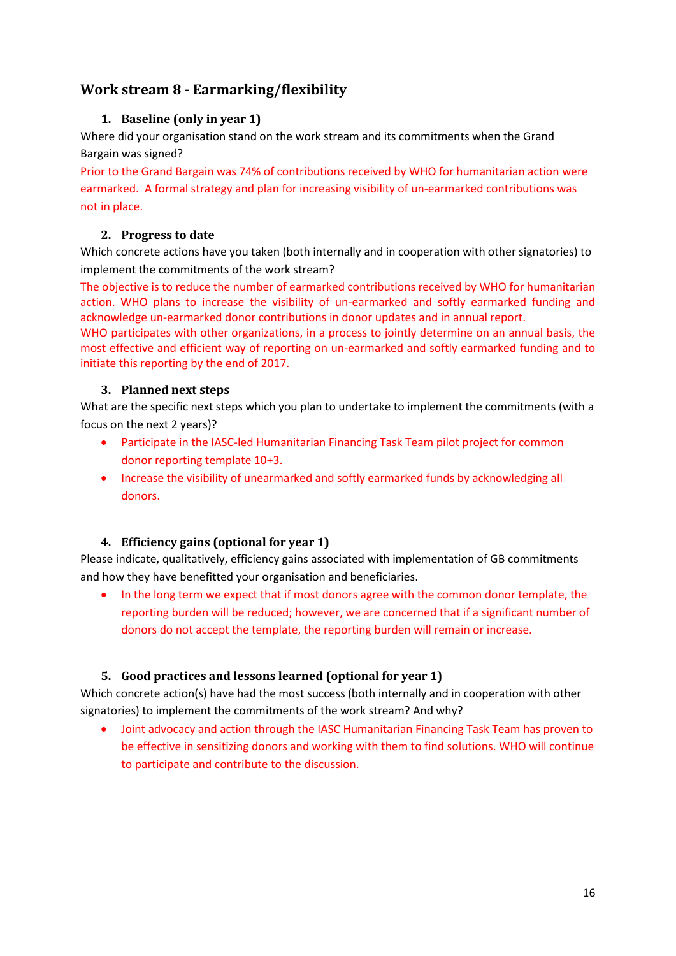## <span id="page-15-1"></span><span id="page-15-0"></span>**Work stream 8 - Earmarking/flexibility**

## **1. Baseline (only in year 1)**

Where did your organisation stand on the work stream and its commitments when the Grand Bargain was signed?

Prior to the Grand Bargain was 74% of contributions received by WHO for humanitarian action were earmarked. A formal strategy and plan for increasing visibility of un-earmarked contributions was not in place.

## <span id="page-15-2"></span>**2. Progress to date**

Which concrete actions have you taken (both internally and in cooperation with other signatories) to implement the commitments of the work stream?

The objective is to reduce the number of earmarked contributions received by WHO for humanitarian action. WHO plans to increase the visibility of un-earmarked and softly earmarked funding and acknowledge un-earmarked donor contributions in donor updates and in annual report.

WHO participates with other organizations, in a process to jointly determine on an annual basis, the most effective and efficient way of reporting on un-earmarked and softly earmarked funding and to initiate this reporting by the end of 2017.

## <span id="page-15-3"></span>**3. Planned next steps**

What are the specific next steps which you plan to undertake to implement the commitments (with a focus on the next 2 years)?

- Participate in the IASC-led Humanitarian Financing Task Team pilot project for common donor reporting template 10+3.
- Increase the visibility of unearmarked and softly earmarked funds by acknowledging all donors.

## <span id="page-15-4"></span>**4. Efficiency gains (optional for year 1)**

Please indicate, qualitatively, efficiency gains associated with implementation of GB commitments and how they have benefitted your organisation and beneficiaries.

• In the long term we expect that if most donors agree with the common donor template, the reporting burden will be reduced; however, we are concerned that if a significant number of donors do not accept the template, the reporting burden will remain or increase.

## <span id="page-15-5"></span>**5. Good practices and lessons learned (optional for year 1)**

Which concrete action(s) have had the most success (both internally and in cooperation with other signatories) to implement the commitments of the work stream? And why?

 Joint advocacy and action through the IASC Humanitarian Financing Task Team has proven to be effective in sensitizing donors and working with them to find solutions. WHO will continue to participate and contribute to the discussion.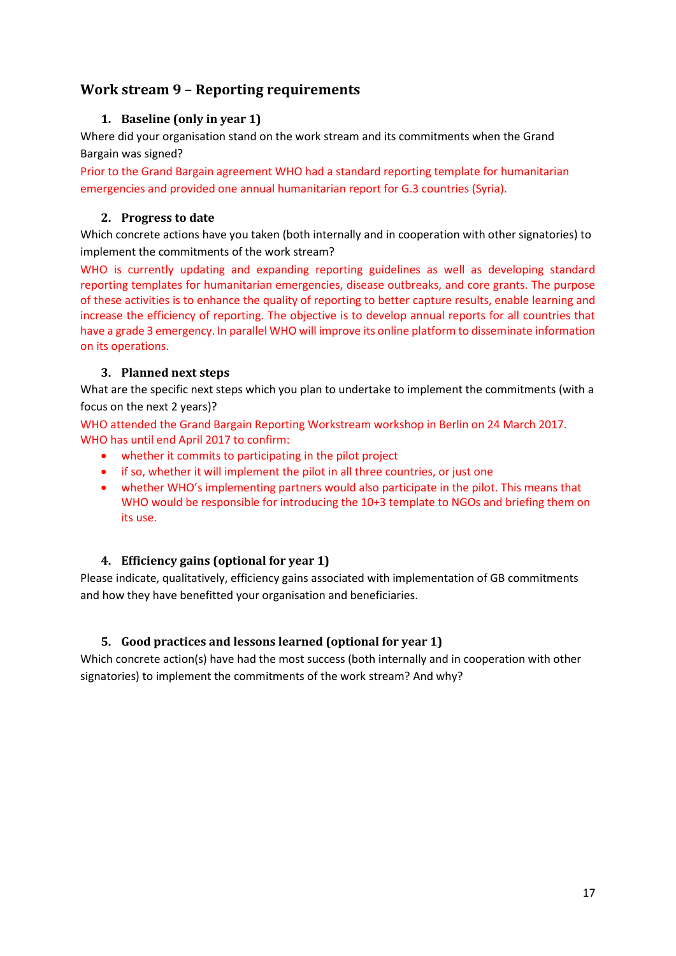## <span id="page-16-0"></span>**Work stream 9 – Reporting requirements**

## **1. Baseline (only in year 1)**

Where did your organisation stand on the work stream and its commitments when the Grand Bargain was signed?

Prior to the Grand Bargain agreement WHO had a standard reporting template for humanitarian emergencies and provided one annual humanitarian report for G.3 countries (Syria).

## **2. Progress to date**

Which concrete actions have you taken (both internally and in cooperation with other signatories) to implement the commitments of the work stream?

WHO is currently updating and expanding reporting guidelines as well as developing standard reporting templates for humanitarian emergencies, disease outbreaks, and core grants. The purpose of these activities is to enhance the quality of reporting to better capture results, enable learning and increase the efficiency of reporting. The objective is to develop annual reports for all countries that have a grade 3 emergency. In parallel WHO will improve its online platform to disseminate information on its operations.

## **3. Planned next steps**

What are the specific next steps which you plan to undertake to implement the commitments (with a focus on the next 2 years)?

WHO attended the Grand Bargain Reporting Workstream workshop in Berlin on 24 March 2017. WHO has until end April 2017 to confirm:

- whether it commits to participating in the pilot project
- if so, whether it will implement the pilot in all three countries, or just one
- whether WHO's implementing partners would also participate in the pilot. This means that WHO would be responsible for introducing the 10+3 template to NGOs and briefing them on its use.

## **4. Efficiency gains (optional for year 1)**

Please indicate, qualitatively, efficiency gains associated with implementation of GB commitments and how they have benefitted your organisation and beneficiaries.

## **5. Good practices and lessons learned (optional for year 1)**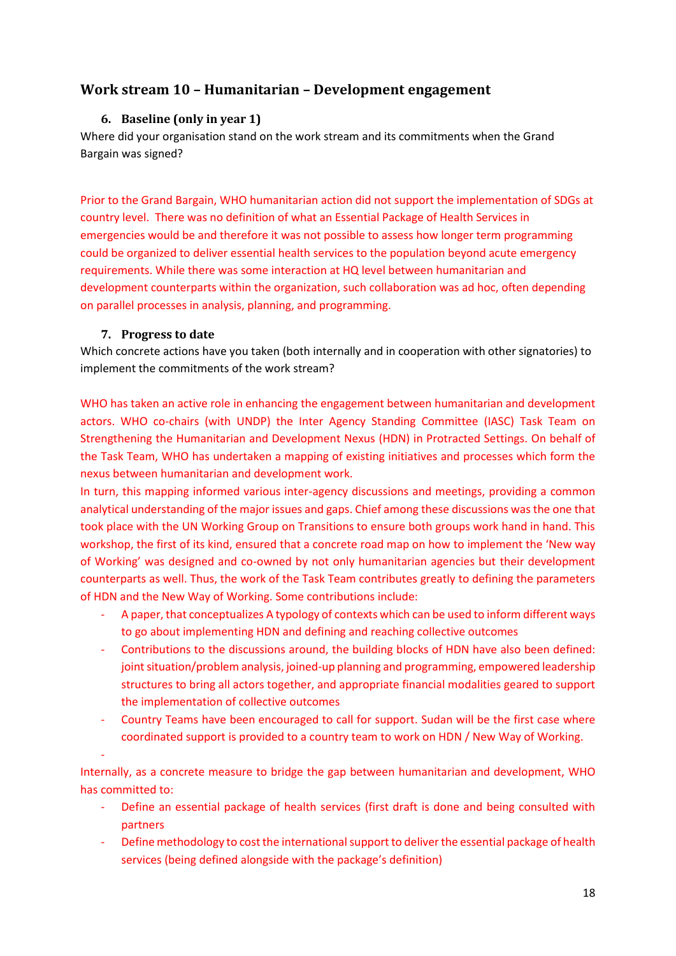## <span id="page-17-1"></span><span id="page-17-0"></span>**Work stream 10 – Humanitarian – Development engagement**

## **6. Baseline (only in year 1)**

Where did your organisation stand on the work stream and its commitments when the Grand Bargain was signed?

Prior to the Grand Bargain, WHO humanitarian action did not support the implementation of SDGs at country level. There was no definition of what an Essential Package of Health Services in emergencies would be and therefore it was not possible to assess how longer term programming could be organized to deliver essential health services to the population beyond acute emergency requirements. While there was some interaction at HQ level between humanitarian and development counterparts within the organization, such collaboration was ad hoc, often depending on parallel processes in analysis, planning, and programming.

#### **7. Progress to date**

-

<span id="page-17-2"></span>Which concrete actions have you taken (both internally and in cooperation with other signatories) to implement the commitments of the work stream?

WHO has taken an active role in enhancing the engagement between humanitarian and development actors. WHO co-chairs (with UNDP) the Inter Agency Standing Committee (IASC) Task Team on Strengthening the Humanitarian and Development Nexus (HDN) in Protracted Settings. On behalf of the Task Team, WHO has undertaken a mapping of existing initiatives and processes which form the nexus between humanitarian and development work.

In turn, this mapping informed various inter-agency discussions and meetings, providing a common analytical understanding of the major issues and gaps. Chief among these discussions was the one that took place with the UN Working Group on Transitions to ensure both groups work hand in hand. This workshop, the first of its kind, ensured that a concrete road map on how to implement the 'New way of Working' was designed and co-owned by not only humanitarian agencies but their development counterparts as well. Thus, the work of the Task Team contributes greatly to defining the parameters of HDN and the New Way of Working. Some contributions include:

- A paper, that conceptualizes A typology of contexts which can be used to inform different ways to go about implementing HDN and defining and reaching collective outcomes
- Contributions to the discussions around, the building blocks of HDN have also been defined: joint situation/problem analysis, joined-up planning and programming, empowered leadership structures to bring all actors together, and appropriate financial modalities geared to support the implementation of collective outcomes
- Country Teams have been encouraged to call for support. Sudan will be the first case where coordinated support is provided to a country team to work on HDN / New Way of Working.

Internally, as a concrete measure to bridge the gap between humanitarian and development, WHO has committed to:

- Define an essential package of health services (first draft is done and being consulted with partners
- Define methodology to cost the international support to deliver the essential package of health services (being defined alongside with the package's definition)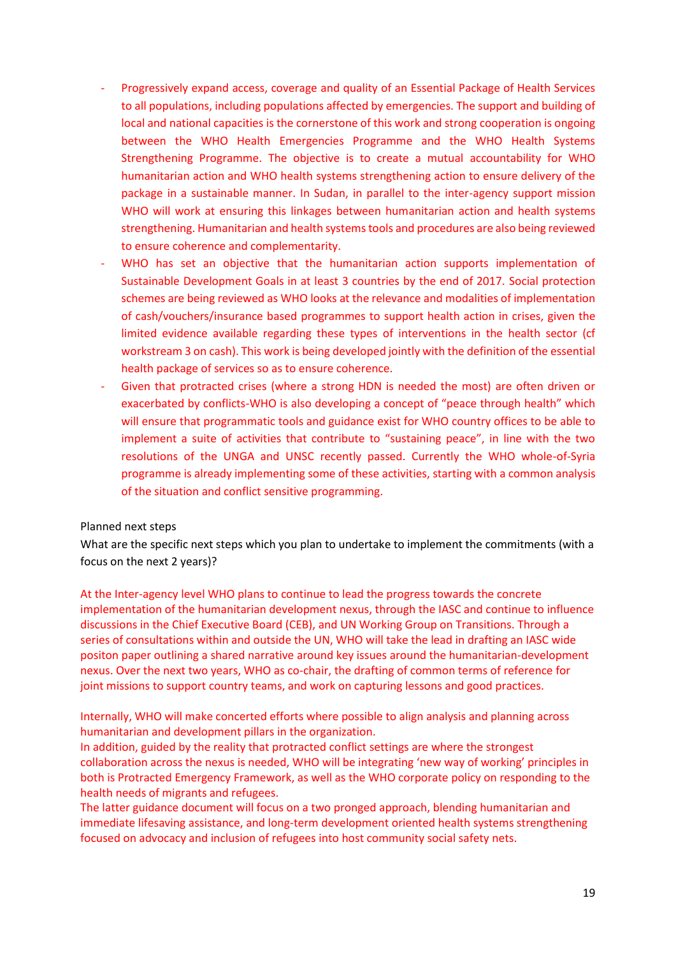- Progressively expand access, coverage and quality of an Essential Package of Health Services to all populations, including populations affected by emergencies. The support and building of local and national capacities is the cornerstone of this work and strong cooperation is ongoing between the WHO Health Emergencies Programme and the WHO Health Systems Strengthening Programme. The objective is to create a mutual accountability for WHO humanitarian action and WHO health systems strengthening action to ensure delivery of the package in a sustainable manner. In Sudan, in parallel to the inter-agency support mission WHO will work at ensuring this linkages between humanitarian action and health systems strengthening. Humanitarian and health systems tools and procedures are also being reviewed to ensure coherence and complementarity.
- WHO has set an objective that the humanitarian action supports implementation of Sustainable Development Goals in at least 3 countries by the end of 2017. Social protection schemes are being reviewed as WHO looks at the relevance and modalities of implementation of cash/vouchers/insurance based programmes to support health action in crises, given the limited evidence available regarding these types of interventions in the health sector (cf workstream 3 on cash). This work is being developed jointly with the definition of the essential health package of services so as to ensure coherence.
- Given that protracted crises (where a strong HDN is needed the most) are often driven or exacerbated by conflicts-WHO is also developing a concept of "peace through health" which will ensure that programmatic tools and guidance exist for WHO country offices to be able to implement a suite of activities that contribute to "sustaining peace", in line with the two resolutions of the UNGA and UNSC recently passed. Currently the WHO whole-of-Syria programme is already implementing some of these activities, starting with a common analysis of the situation and conflict sensitive programming.

#### <span id="page-18-0"></span>Planned next steps

What are the specific next steps which you plan to undertake to implement the commitments (with a focus on the next 2 years)?

At the Inter-agency level WHO plans to continue to lead the progress towards the concrete implementation of the humanitarian development nexus, through the IASC and continue to influence discussions in the Chief Executive Board (CEB), and UN Working Group on Transitions. Through a series of consultations within and outside the UN, WHO will take the lead in drafting an IASC wide positon paper outlining a shared narrative around key issues around the humanitarian-development nexus. Over the next two years, WHO as co-chair, the drafting of common terms of reference for joint missions to support country teams, and work on capturing lessons and good practices.

Internally, WHO will make concerted efforts where possible to align analysis and planning across humanitarian and development pillars in the organization.

In addition, guided by the reality that protracted conflict settings are where the strongest collaboration across the nexus is needed, WHO will be integrating 'new way of working' principles in both is Protracted Emergency Framework, as well as the WHO corporate policy on responding to the health needs of migrants and refugees.

The latter guidance document will focus on a two pronged approach, blending humanitarian and immediate lifesaving assistance, and long-term development oriented health systems strengthening focused on advocacy and inclusion of refugees into host community social safety nets.